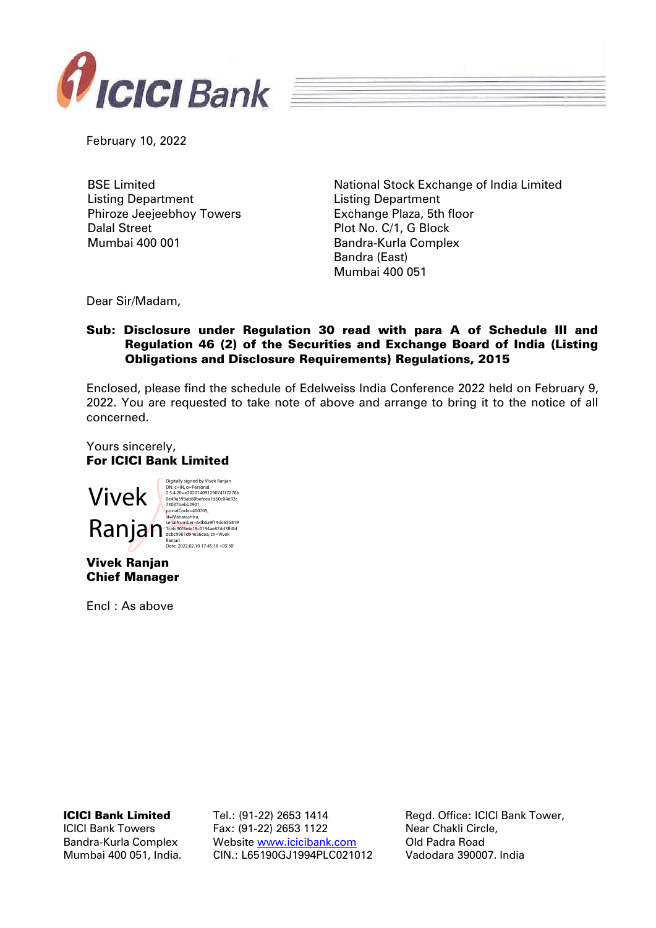

February 10, 2022

BSE Limited Listing Department Phiroze Jeejeebhoy Towers Dalal Street Mumbai 400 001

National Stock Exchange of India Limited Listing Department Exchange Plaza, 5th floor Plot No. C/1, G Block Bandra-Kurla Complex Bandra (East) Mumbai 400 051

Dear Sir/Madam,

## Sub: Disclosure under Regulation 30 read with para A of Schedule III and Regulation 46 (2) of the Securities and Exchange Board of India (Listing Obligations and Disclosure Requirements) Regulations, 2015

Enclosed, please find the schedule of Edelweiss India Conference 2022 held on February 9, 2022. You are requested to take note of above and arrange to bring it to the notice of all concerned.

Yours sincerely, For ICICI Bank Limited



Vivek Ranjan Chief Manager

Encl : As above

ICICI Bank Limited

ICICI Bank Towers Bandra-Kurla Complex Mumbai 400 051, India. Tel.: (91-22) 2653 1414 Fax: (91-22) 2653 1122 Website [www.icicibank.com](http://www.icicibank.com/) CIN.: L65190GJ1994PLC021012

Regd. Office: ICICI Bank Tower, Near Chakli Circle, Old Padra Road Vadodara 390007. India